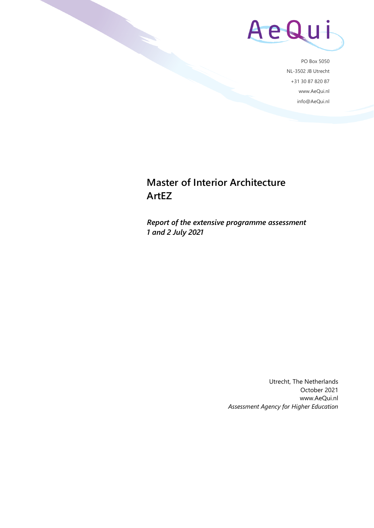

PO Box 5050 NL-3502 JB Utrecht +31 30 87 820 87 www.AeQui.nl info@AeQui.nl

## **Master of Interior Architecture ArtEZ**

*Report of the extensive programme assessment 1 and 2 July 2021*

> Utrecht, The Netherlands October 2021 www.AeQui.nl *Assessment Agency for Higher Education*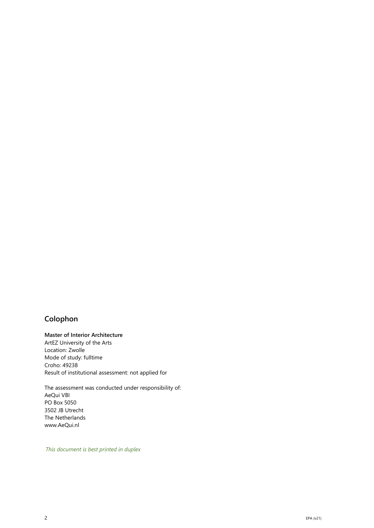### **Colophon**

#### **Master of Interior Architecture**

ArtEZ University of the Arts Location: Zwolle Mode of study: fulltime Croho: 49238 Result of institutional assessment: not applied for

The assessment was conducted under responsibility of: AeQui VBI PO Box 5050 3502 JB Utrecht The Netherlands www.AeQui.nl

*This document is best printed in duplex*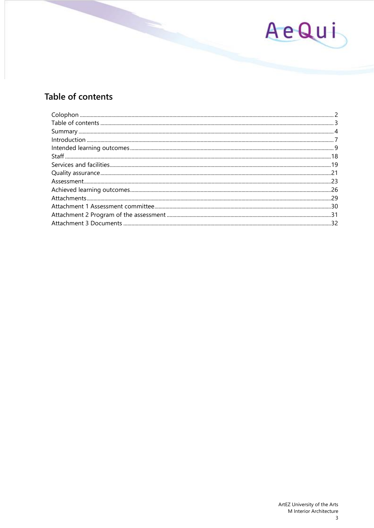

## Table of contents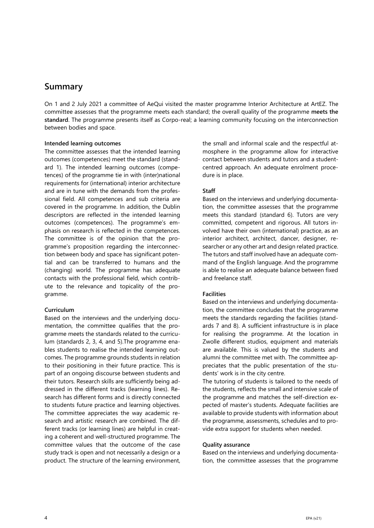### **Summary**

On 1 and 2 July 2021 a committee of AeQui visited the master programme Interior Architecture at ArtEZ. The committee assesses that the programme meets each standard; the overall quality of the programme **meets the standard**. The programme presents itself as Corpo-real; a learning community focusing on the interconnection between bodies and space.

#### **Intended learning outcomes**

The committee assesses that the intended learning outcomes (competences) meet the standard (standard 1). The intended learning outcomes (competences) of the programme tie in with (inter)national requirements for (international) interior architecture and are in tune with the demands from the professional field. All competences and sub criteria are covered in the programme. In addition, the Dublin descriptors are reflected in the intended learning outcomes (competences). The programme's emphasis on research is reflected in the competences. The committee is of the opinion that the programme's proposition regarding the interconnection between body and space has significant potential and can be transferred to humans and the (changing) world. The programme has adequate contacts with the professional field, which contribute to the relevance and topicality of the programme.

#### **Curriculum**

Based on the interviews and the underlying documentation, the committee qualifies that the programme meets the standards related to the curriculum (standards 2, 3, 4, and 5).The programme enables students to realise the intended learning outcomes. The programme grounds students in relation to their positioning in their future practice. This is part of an ongoing discourse between students and their tutors. Research skills are sufficiently being addressed in the different tracks (learning lines). Research has different forms and is directly connected to students future practice and learning objectives. The committee appreciates the way academic research and artistic research are combined. The different tracks (or learning lines) are helpful in creating a coherent and well-structured programme. The committee values that the outcome of the case study track is open and not necessarily a design or a product. The structure of the learning environment,

the small and informal scale and the respectful atmosphere in the programme allow for interactive contact between students and tutors and a studentcentred approach. An adequate enrolment procedure is in place.

#### **Staff**

Based on the interviews and underlying documentation, the committee assesses that the programme meets this standard (standard 6). Tutors are very committed, competent and rigorous. All tutors involved have their own (international) practice, as an interior architect, architect, dancer, designer, researcher or any other art and design related practice. The tutors and staff involved have an adequate command of the English language. And the programme is able to realise an adequate balance between fixed and freelance staff.

#### **Facilities**

Based on the interviews and underlying documentation, the committee concludes that the programme meets the standards regarding the facilities (standards 7 and 8). A sufficient infrastructure is in place for realising the programme. At the location in Zwolle different studios, equipment and materials are available. This is valued by the students and alumni the committee met with. The committee appreciates that the public presentation of the students' work is in the city centre.

The tutoring of students is tailored to the needs of the students, reflects the small and intensive scale of the programme and matches the self-direction expected of master's students. Adequate facilities are available to provide students with information about the programme, assessments, schedules and to provide extra support for students when needed.

#### **Quality assurance**

Based on the interviews and underlying documentation, the committee assesses that the programme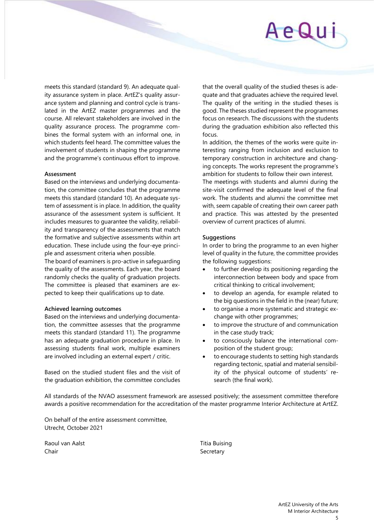meets this standard (standard 9). An adequate quality assurance system in place. ArtEZ's quality assurance system and planning and control cycle is translated in the ArtEZ master programmes and the course. All relevant stakeholders are involved in the quality assurance process. The programme combines the formal system with an informal one, in which students feel heard. The committee values the involvement of students in shaping the programme and the programme's continuous effort to improve.

#### **Assessment**

Based on the interviews and underlying documentation, the committee concludes that the programme meets this standard (standard 10). An adequate system of assessment is in place. In addition, the quality assurance of the assessment system is sufficient. It includes measures to guarantee the validity, reliability and transparency of the assessments that match the formative and subjective assessments within art education. These include using the four-eye principle and assessment criteria when possible.

The board of examiners is pro-active in safeguarding the quality of the assessments. Each year, the board randomly checks the quality of graduation projects. The committee is pleased that examiners are expected to keep their qualifications up to date.

#### **Achieved learning outcomes**

Based on the interviews and underlying documentation, the committee assesses that the programme meets this standard (standard 11). The programme has an adequate graduation procedure in place. In assessing students final work, multiple examiners are involved including an external expert / critic.

Based on the studied student files and the visit of the graduation exhibition, the committee concludes that the overall quality of the studied theses is adequate and that graduates achieve the required level. The quality of the writing in the studied theses is good. The theses studied represent the programmes focus on research. The discussions with the students during the graduation exhibition also reflected this focus.

In addition, the themes of the works were quite interesting ranging from inclusion and exclusion to temporary construction in architecture and changing concepts. The works represent the programme's ambition for students to follow their own interest.

The meetings with students and alumni during the site-visit confirmed the adequate level of the final work. The students and alumni the committee met with, seem capable of creating their own career path and practice. This was attested by the presented overview of current practices of alumni.

#### **Suggestions**

In order to bring the programme to an even higher level of quality in the future, the committee provides the following suggestions:

- to further develop its positioning regarding the interconnection between body and space from critical thinking to critical involvement;
- to develop an agenda, for example related to the big questions in the field in the (near) future;
- to organise a more systematic and strategic exchange with other programmes;
- to improve the structure of and communication in the case study track;
- to consciously balance the international composition of the student group;
- to encourage students to setting high standards regarding tectonic, spatial and material sensibility of the physical outcome of students' research (the final work).

All standards of the NVAO assessment framework are assessed positively; the assessment committee therefore awards a positive recommendation for the accreditation of the master programme Interior Architecture at ArtEZ.

On behalf of the entire assessment committee, Utrecht, October 2021

Raoul van Aalst Titia Buising Chair Secretary Secretary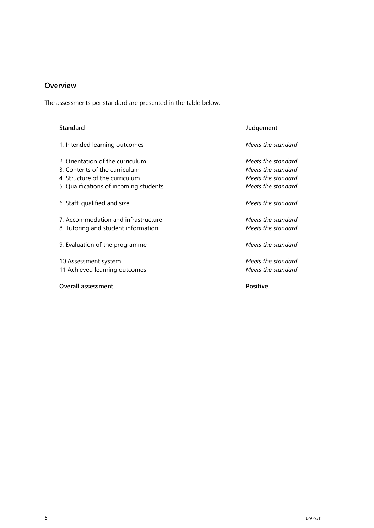### **Overview**

The assessments per standard are presented in the table below.

| <b>Standard</b>                                                                                                                               | Judgement                                                                            |
|-----------------------------------------------------------------------------------------------------------------------------------------------|--------------------------------------------------------------------------------------|
| 1. Intended learning outcomes                                                                                                                 | Meets the standard                                                                   |
| 2. Orientation of the curriculum<br>3. Contents of the curriculum<br>4. Structure of the curriculum<br>5. Qualifications of incoming students | Meets the standard<br>Meets the standard<br>Meets the standard<br>Meets the standard |
| 6. Staff: qualified and size                                                                                                                  | Meets the standard                                                                   |
| 7. Accommodation and infrastructure<br>8. Tutoring and student information                                                                    | Meets the standard<br>Meets the standard                                             |
| 9. Evaluation of the programme                                                                                                                | Meets the standard                                                                   |
| 10 Assessment system<br>11 Achieved learning outcomes                                                                                         | Meets the standard<br>Meets the standard                                             |
| <b>Overall assessment</b>                                                                                                                     | <b>Positive</b>                                                                      |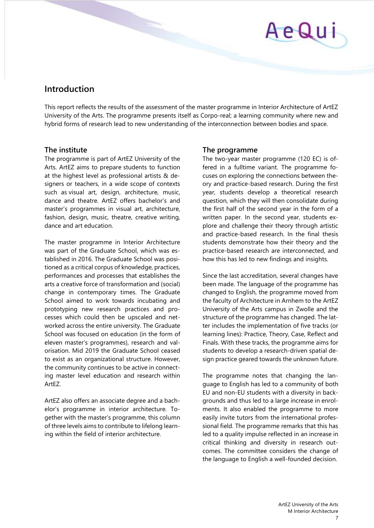# AeQui

## **Introduction**

This report reflects the results of the assessment of the master programme in Interior Architecture of ArtEZ University of the Arts. The programme presents itself as Corpo-real; a learning community where new and hybrid forms of research lead to new understanding of the interconnection between bodies and space.

### **The institute**

The programme is part of ArtEZ University of the Arts. ArtEZ aims to prepare students to function at the highest level as professional artists & designers or teachers, in a wide scope of contexts such as visual art, design, architecture, music, dance and theatre. ArtEZ offers bachelor's and master's programmes in visual art, architecture, fashion, design, music, theatre, creative writing, dance and art education.

The master programme in Interior Architecture was part of the Graduate School, which was established in 2016. The Graduate School was positioned as a critical corpus of knowledge, practices, performances and processes that establishes the arts a creative force of transformation and (social) change in contemporary times. The Graduate School aimed to work towards incubating and prototyping new research practices and processes which could then be upscaled and networked across the entire university. The Graduate School was focused on education (in the form of eleven master's programmes), research and valorisation. Mid 2019 the Graduate School ceased to exist as an organizational structure. However, the community continues to be active in connecting master level education and research within ArtEZ.

ArtEZ also offers an associate degree and a bachelor's programme in interior architecture. Together with the master's programme, this column of three levels aims to contribute to lifelong learning within the field of interior architecture.

### **The programme**

The two-year master programme (120 EC) is offered in a fulltime variant. The programme focuses on exploring the connections between theory and practice-based research. During the first year, students develop a theoretical research question, which they will then consolidate during the first half of the second year in the form of a written paper. In the second year, students explore and challenge their theory through artistic and practice-based research. In the final thesis students demonstrate how their theory and the practice-based research are interconnected, and how this has led to new findings and insights.

Since the last accreditation, several changes have been made. The language of the programme has changed to English, the programme moved from the faculty of Architecture in Arnhem to the ArtEZ University of the Arts campus in Zwolle and the structure of the programme has changed. The latter includes the implementation of five tracks (or learning lines): Practice, Theory, Case, Reflect and Finals. With these tracks, the programme aims for students to develop a research-driven spatial design practice geared towards the unknown future.

The programme notes that changing the language to English has led to a community of both EU and non-EU students with a diversity in backgrounds and thus led to a large increase in enrolments. It also enabled the programme to more easily invite tutors from the international professional field. The programme remarks that this has led to a quality impulse reflected in an increase in critical thinking and diversity in research outcomes. The committee considers the change of the language to English a well-founded decision.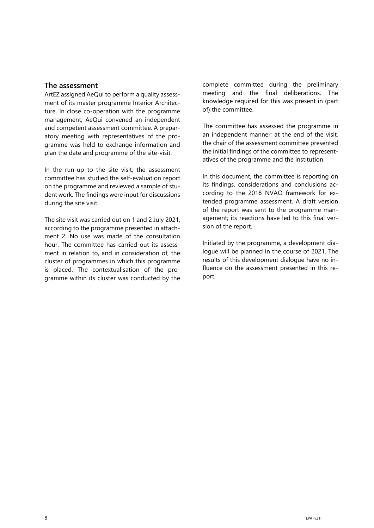#### **The assessment**

ArtEZ assigned AeQui to perform a quality assessment of its master programme Interior Architecture. In close co-operation with the programme management, AeQui convened an independent and competent assessment committee. A preparatory meeting with representatives of the programme was held to exchange information and plan the date and programme of the site-visit.

In the run-up to the site visit, the assessment committee has studied the self-evaluation report on the programme and reviewed a sample of student work. The findings were input for discussions during the site visit.

The site visit was carried out on 1 and 2 July 2021, according to the programme presented in attachment 2. No use was made of the consultation hour. The committee has carried out its assessment in relation to, and in consideration of, the cluster of programmes in which this programme is placed. The contextualisation of the programme within its cluster was conducted by the

complete committee during the preliminary meeting and the final deliberations. The knowledge required for this was present in (part of) the committee.

The committee has assessed the programme in an independent manner; at the end of the visit, the chair of the assessment committee presented the initial findings of the committee to representatives of the programme and the institution.

In this document, the committee is reporting on its findings, considerations and conclusions according to the 2018 NVAO framework for extended programme assessment. A draft version of the report was sent to the programme management; its reactions have led to this final version of the report.

Initiated by the programme, a development dialogue will be planned in the course of 2021. The results of this development dialogue have no influence on the assessment presented in this report.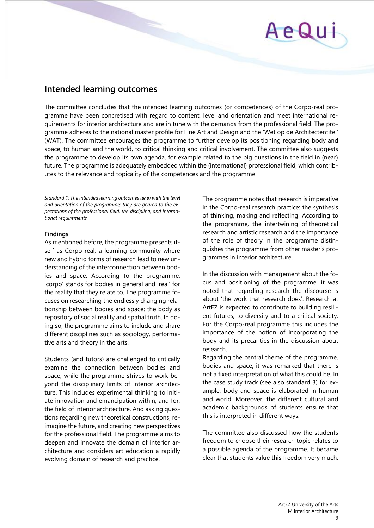# AeQu

## **Intended learning outcomes**

The committee concludes that the intended learning outcomes (or competences) of the Corpo-real programme have been concretised with regard to content, level and orientation and meet international requirements for interior architecture and are in tune with the demands from the professional field. The programme adheres to the national master profile for Fine Art and Design and the 'Wet op de Architectentitel' (WAT). The committee encourages the programme to further develop its positioning regarding body and space, to human and the world, to critical thinking and critical involvement. The committee also suggests the programme to develop its own agenda, for example related to the big questions in the field in (near) future. The programme is adequately embedded within the (international) professional field, which contributes to the relevance and topicality of the competences and the programme.

*Standard 1: The intended learning outcomes tie in with the level and orientation of the programme; they are geared to the expectations of the professional field, the discipline, and international requirements.*

#### **Findings**

As mentioned before, the programme presents itself as Corpo-real; a learning community where new and hybrid forms of research lead to new understanding of the interconnection between bodies and space. According to the programme, 'corpo' stands for bodies in general and 'real' for the reality that they relate to. The programme focuses on researching the endlessly changing relationship between bodies and space: the body as repository of social reality and spatial truth. In doing so, the programme aims to include and share different disciplines such as sociology, performative arts and theory in the arts.

Students (and tutors) are challenged to critically examine the connection between bodies and space, while the programme strives to work beyond the disciplinary limits of interior architecture. This includes experimental thinking to initiate innovation and emancipation within, and for, the field of interior architecture. And asking questions regarding new theoretical constructions, reimagine the future, and creating new perspectives for the professional field. The programme aims to deepen and innovate the domain of interior architecture and considers art education a rapidly evolving domain of research and practice.

The programme notes that research is imperative in the Corpo-real research practice: the synthesis of thinking, making and reflecting. According to the programme, the intertwining of theoretical research and artistic research and the importance of the role of theory in the programme distinguishes the programme from other master's programmes in interior architecture.

In the discussion with management about the focus and positioning of the programme, it was noted that regarding research the discourse is about 'the work that research does'. Research at ArtEZ is expected to contribute to building resilient futures, to diversity and to a critical society. For the Corpo-real programme this includes the importance of the notion of incorporating the body and its precarities in the discussion about research.

Regarding the central theme of the programme, bodies and space, it was remarked that there is not a fixed interpretation of what this could be. In the case study track (see also standard 3) for example, body and space is elaborated in human and world. Moreover, the different cultural and academic backgrounds of students ensure that this is interpreted in different ways.

The committee also discussed how the students freedom to choose their research topic relates to a possible agenda of the programme. It became clear that students value this freedom very much.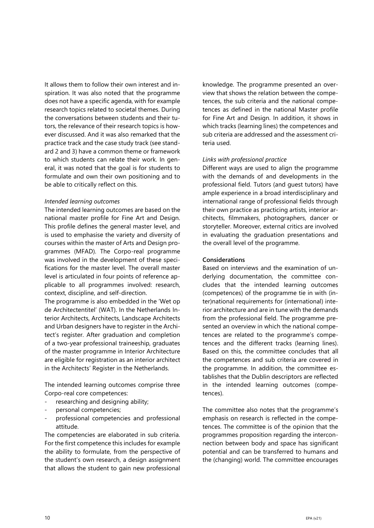It allows them to follow their own interest and inspiration. It was also noted that the programme does not have a specific agenda, with for example research topics related to societal themes. During the conversations between students and their tutors, the relevance of their research topics is however discussed. And it was also remarked that the practice track and the case study track (see standard 2 and 3) have a common theme or framework to which students can relate their work. In general, it was noted that the goal is for students to formulate and own their own positioning and to be able to critically reflect on this.

#### *Intended learning outcomes*

The intended learning outcomes are based on the national master profile for Fine Art and Design. This profile defines the general master level, and is used to emphasise the variety and diversity of courses within the master of Arts and Design programmes (MFAD). The Corpo-real programme was involved in the development of these specifications for the master level. The overall master level is articulated in four points of reference applicable to all programmes involved: research, context, discipline, and self-direction.

The programme is also embedded in the 'Wet op de Architectentitel' (WAT). In the Netherlands Interior Architects, Architects, Landscape Architects and Urban designers have to register in the Architect's register. After graduation and completion of a two-year professional traineeship, graduates of the master programme in Interior Architecture are eligible for registration as an interior architect in the Architects' Register in the Netherlands.

The intended learning outcomes comprise three Corpo-real core competences:

- researching and designing ability;
- personal competencies;
- professional competencies and professional attitude.

The competencies are elaborated in sub criteria. For the first competence this includes for example the ability to formulate, from the perspective of the student's own research, a design assignment that allows the student to gain new professional

knowledge. The programme presented an overview that shows the relation between the competences, the sub criteria and the national competences as defined in the national Master profile for Fine Art and Design. In addition, it shows in which tracks (learning lines) the competences and sub criteria are addressed and the assessment criteria used.

#### *Links with professional practice*

Different ways are used to align the programme with the demands of and developments in the professional field. Tutors (and guest tutors) have ample experience in a broad interdisciplinary and international range of professional fields through their own practice as practicing artists, interior architects, filmmakers, photographers, dancer or storyteller. Moreover, external critics are involved in evaluating the graduation presentations and the overall level of the programme.

#### **Considerations**

Based on interviews and the examination of underlying documentation, the committee concludes that the intended learning outcomes (competences) of the programme tie in with (inter)national requirements for (international) interior architecture and are in tune with the demands from the professional field. The programme presented an overview in which the national competences are related to the programme's competences and the different tracks (learning lines). Based on this, the committee concludes that all the competences and sub criteria are covered in the programme. In addition, the committee establishes that the Dublin descriptors are reflected in the intended learning outcomes (competences).

The committee also notes that the programme's emphasis on research is reflected in the competences. The committee is of the opinion that the programmes proposition regarding the interconnection between body and space has significant potential and can be transferred to humans and the (changing) world. The committee encourages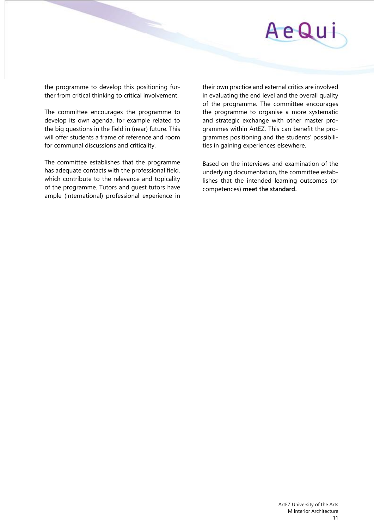

the programme to develop this positioning further from critical thinking to critical involvement.

The committee encourages the programme to develop its own agenda, for example related to the big questions in the field in (near) future. This will offer students a frame of reference and room for communal discussions and criticality.

The committee establishes that the programme has adequate contacts with the professional field, which contribute to the relevance and topicality of the programme. Tutors and guest tutors have ample (international) professional experience in their own practice and external critics are involved in evaluating the end level and the overall quality of the programme. The committee encourages the programme to organise a more systematic and strategic exchange with other master programmes within ArtEZ. This can benefit the programmes positioning and the students' possibilities in gaining experiences elsewhere.

Based on the interviews and examination of the underlying documentation, the committee establishes that the intended learning outcomes (or competences) **meet the standard.**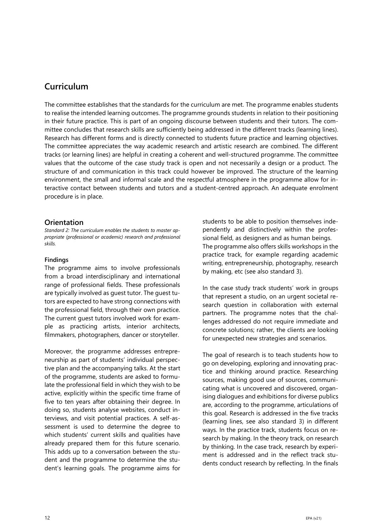## **Curriculum**

The committee establishes that the standards for the curriculum are met. The programme enables students to realise the intended learning outcomes. The programme grounds students in relation to their positioning in their future practice. This is part of an ongoing discourse between students and their tutors. The committee concludes that research skills are sufficiently being addressed in the different tracks (learning lines). Research has different forms and is directly connected to students future practice and learning objectives. The committee appreciates the way academic research and artistic research are combined. The different tracks (or learning lines) are helpful in creating a coherent and well-structured programme. The committee values that the outcome of the case study track is open and not necessarily a design or a product. The structure of and communication in this track could however be improved. The structure of the learning environment, the small and informal scale and the respectful atmosphere in the programme allow for interactive contact between students and tutors and a student-centred approach. An adequate enrolment procedure is in place.

#### **Orientation**

*Standard 2: The curriculum enables the students to master appropriate (professional or academic) research and professional skills.* 

#### **Findings**

The programme aims to involve professionals from a broad interdisciplinary and international range of professional fields. These professionals are typically involved as guest tutor. The guest tutors are expected to have strong connections with the professional field, through their own practice. The current guest tutors involved work for example as practicing artists, interior architects, filmmakers, photographers, dancer or storyteller.

Moreover, the programme addresses entrepreneurship as part of students' individual perspective plan and the accompanying talks. At the start of the programme, students are asked to formulate the professional field in which they wish to be active, explicitly within the specific time frame of five to ten years after obtaining their degree. In doing so, students analyse websites, conduct interviews, and visit potential practices. A self-assessment is used to determine the degree to which students' current skills and qualities have already prepared them for this future scenario. This adds up to a conversation between the student and the programme to determine the student's learning goals. The programme aims for

students to be able to position themselves independently and distinctively within the professional field, as designers and as human beings. The programme also offers skills workshops in the practice track, for example regarding academic writing, entrepreneurship, photography, research by making, etc (see also standard 3).

In the case study track students' work in groups that represent a studio, on an urgent societal research question in collaboration with external partners. The programme notes that the challenges addressed do not require immediate and concrete solutions; rather, the clients are looking for unexpected new strategies and scenarios.

The goal of research is to teach students how to go on developing, exploring and innovating practice and thinking around practice. Researching sources, making good use of sources, communicating what is uncovered and discovered, organising dialogues and exhibitions for diverse publics are, according to the programme, articulations of this goal. Research is addressed in the five tracks (learning lines, see also standard 3) in different ways. In the practice track, students focus on research by making. In the theory track, on research by thinking. In the case track, research by experiment is addressed and in the reflect track students conduct research by reflecting. In the finals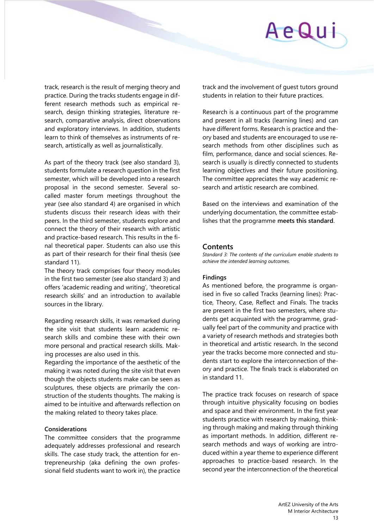

track, research is the result of merging theory and practice. During the tracks students engage in different research methods such as empirical research, design thinking strategies, literature research, comparative analysis, direct observations and exploratory interviews. In addition, students learn to think of themselves as instruments of research, artistically as well as journalistically.

As part of the theory track (see also standard 3), students formulate a research question in the first semester, which will be developed into a research proposal in the second semester. Several socalled master forum meetings throughout the year (see also standard 4) are organised in which students discuss their research ideas with their peers. In the third semester, students explore and connect the theory of their research with artistic and practice-based research. This results in the final theoretical paper. Students can also use this as part of their research for their final thesis (see standard 11).

The theory track comprises four theory modules in the first two semester (see also standard 3) and offers 'academic reading and writing', 'theoretical research skills' and an introduction to available sources in the library.

Regarding research skills, it was remarked during the site visit that students learn academic research skills and combine these with their own more personal and practical research skills. Making processes are also used in this.

Regarding the importance of the aesthetic of the making it was noted during the site visit that even though the objects students make can be seen as sculptures, these objects are primarily the construction of the students thoughts. The making is aimed to be intuitive and afterwards reflection on the making related to theory takes place.

#### **Considerations**

The committee considers that the programme adequately addresses professional and research skills. The case study track, the attention for entrepreneurship (aka defining the own professional field students want to work in), the practice track and the involvement of guest tutors ground students in relation to their future practices.

Research is a continuous part of the programme and present in all tracks (learning lines) and can have different forms. Research is practice and theory based and students are encouraged to use research methods from other disciplines such as film, performance, dance and social sciences. Research is usually is directly connected to students learning objectives and their future positioning. The committee appreciates the way academic research and artistic research are combined.

Based on the interviews and examination of the underlying documentation, the committee establishes that the programme **meets this standard**.

#### **Contents**

*Standard 3: The contents of the curriculum enable students to achieve the intended learning outcomes.* 

#### **Findings**

As mentioned before, the programme is organised in five so called Tracks (learning lines): Practice, Theory, Case, Reflect and Finals. The tracks are present in the first two semesters, where students get acquainted with the programme, gradually feel part of the community and practice with a variety of research methods and strategies both in theoretical and artistic research. In the second year the tracks become more connected and students start to explore the interconnection of theory and practice. The finals track is elaborated on in standard 11.

The practice track focuses on research of space through intuitive physicality focusing on bodies and space and their environment. In the first year students practice with research by making, thinking through making and making through thinking as important methods. In addition, different research methods and ways of working are introduced within a year theme to experience different approaches to practice-based research. In the second year the interconnection of the theoretical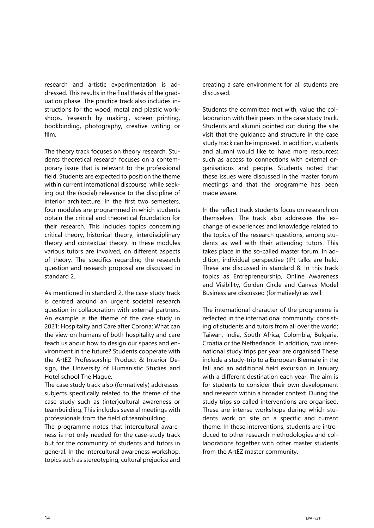research and artistic experimentation is addressed. This results in the final thesis of the graduation phase. The practice track also includes instructions for the wood, metal and plastic workshops, 'research by making', screen printing, bookbinding, photography, creative writing or film.

The theory track focuses on theory research. Students theoretical research focuses on a contemporary issue that is relevant to the professional field. Students are expected to position the theme within current international discourse, while seeking out the (social) relevance to the discipline of interior architecture. In the first two semesters, four modules are programmed in which students obtain the critical and theoretical foundation for their research. This includes topics concerning critical theory, historical theory, interdisciplinary theory and contextual theory. In these modules various tutors are involved, on different aspects of theory. The specifics regarding the research question and research proposal are discussed in standard 2.

As mentioned in standard 2, the case study track is centred around an urgent societal research question in collaboration with external partners. An example is the theme of the case study in 2021: Hospitality and Care after Corona: What can the view on humans of both hospitality and care teach us about how to design our spaces and environment in the future? Students cooperate with the ArtEZ Professorship Product & Interior Design, the University of Humanistic Studies and Hotel school The Hague.

The case study track also (formatively) addresses subjects specifically related to the theme of the case study such as (inter)cultural awareness or teambuilding. This includes several meetings with professionals from the field of teambuilding.

The programme notes that intercultural awareness is not only needed for the case-study track but for the community of students and tutors in general. In the intercultural awareness workshop, topics such as stereotyping, cultural prejudice and

creating a safe environment for all students are discussed.

Students the committee met with, value the collaboration with their peers in the case study track. Students and alumni pointed out during the site visit that the guidance and structure in the case study track can be improved. In addition, students and alumni would like to have more resources; such as access to connections with external organisations and people. Students noted that these issues were discussed in the master forum meetings and that the programme has been made aware.

In the reflect track students focus on research on themselves. The track also addresses the exchange of experiences and knowledge related to the topics of the research questions, among students as well with their attending tutors. This takes place in the so-called master forum. In addition, individual perspective (IP) talks are held. These are discussed in standard 8. In this track topics as Entrepreneurship, Online Awareness and Visibility, Golden Circle and Canvas Model Business are discussed (formatively) as well.

The international character of the programme is reflected in the international community, consisting of students and tutors from all over the world; Taiwan, India, South Africa, Colombia, Bulgaria, Croatia or the Netherlands. In addition, two international study trips per year are organised These include a study-trip to a European Biennale in the fall and an additional field excursion in January with a different destination each year. The aim is for students to consider their own development and research within a broader context. During the study trips so called interventions are organised. These are intense workshops during which students work on site on a specific and current theme. In these interventions, students are introduced to other research methodologies and collaborations together with other master students from the ArtEZ master community.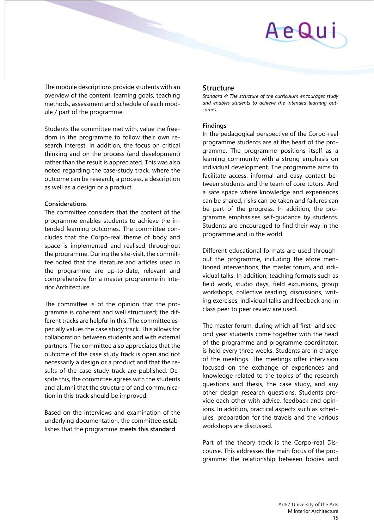## AeQu

The module descriptions provide students with an overview of the content, learning goals, teaching methods, assessment and schedule of each module / part of the programme.

Students the committee met with, value the freedom in the programme to follow their own research interest. In addition, the focus on critical thinking and on the process (and development) rather than the result is appreciated. This was also noted regarding the case-study track, where the outcome can be research, a process, a description as well as a design or a product.

#### **Considerations**

The committee considers that the content of the programme enables students to achieve the intended learning outcomes. The committee concludes that the Corpo-real theme of body and space is implemented and realised throughout the programme. During the site-visit, the committee noted that the literature and articles used in the programme are up-to-date, relevant and comprehensive for a master programme in Interior Architecture.

The committee is of the opinion that the programme is coherent and well structured; the different tracks are helpful in this. The committee especially values the case study track. This allows for collaboration between students and with external partners. The committee also appreciates that the outcome of the case study track is open and not necessarily a design or a product and that the results of the case study track are published. Despite this, the committee agrees with the students and alumni that the structure of and communication in this track should be improved.

Based on the interviews and examination of the underlying documentation, the committee establishes that the programme **meets this standard**.

#### **Structure**

*Standard 4: The structure of the curriculum encourages study and enables students to achieve the intended learning outcomes.* 

#### **Findings**

In the pedagogical perspective of the Corpo-real programme students are at the heart of the programme. The programme positions itself as a learning community with a strong emphasis on individual development. The programme aims to facilitate access: informal and easy contact between students and the team of core tutors. And a safe space where knowledge and experiences can be shared, risks can be taken and failures can be part of the progress. In addition, the programme emphasises self-guidance by students. Students are encouraged to find their way in the programme and in the world.

Different educational formats are used throughout the programme, including the afore mentioned interventions, the master forum, and individual talks. In addition, teaching formats such as field work, studio days, field excursions, group workshops, collective reading, discussions, writing exercises, individual talks and feedback and in class peer to peer review are used.

The master forum, during which all first- and second year students come together with the head of the programme and programme coordinator, is held every three weeks. Students are in charge of the meetings. The meetings offer intervision focused on the exchange of experiences and knowledge related to the topics of the research questions and thesis, the case study, and any other design research questions. Students provide each other with advice, feedback and opinions. In addition, practical aspects such as schedules, preparation for the travels and the various workshops are discussed.

Part of the theory track is the Corpo-real Discourse. This addresses the main focus of the programme: the relationship between bodies and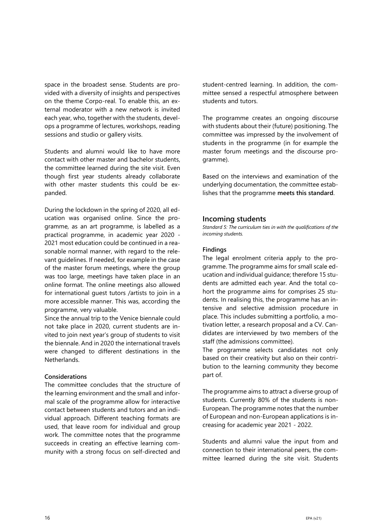space in the broadest sense. Students are provided with a diversity of insights and perspectives on the theme Corpo-real. To enable this, an external moderator with a new network is invited each year, who, together with the students, develops a programme of lectures, workshops, reading sessions and studio or gallery visits.

Students and alumni would like to have more contact with other master and bachelor students, the committee learned during the site visit. Even though first year students already collaborate with other master students this could be expanded.

During the lockdown in the spring of 2020, all education was organised online. Since the programme, as an art programme, is labelled as a practical programme, in academic year 2020 - 2021 most education could be continued in a reasonable normal manner, with regard to the relevant guidelines. If needed, for example in the case of the master forum meetings, where the group was too large, meetings have taken place in an online format. The online meetings also allowed for international guest tutors /artists to join in a more accessible manner. This was, according the programme, very valuable.

Since the annual trip to the Venice biennale could not take place in 2020, current students are invited to join next year's group of students to visit the biennale. And in 2020 the international travels were changed to different destinations in the Netherlands.

#### **Considerations**

The committee concludes that the structure of the learning environment and the small and informal scale of the programme allow for interactive contact between students and tutors and an individual approach. Different teaching formats are used, that leave room for individual and group work. The committee notes that the programme succeeds in creating an effective learning community with a strong focus on self-directed and

student-centred learning. In addition, the committee sensed a respectful atmosphere between students and tutors.

The programme creates an ongoing discourse with students about their (future) positioning. The committee was impressed by the involvement of students in the programme (in for example the master forum meetings and the discourse programme).

Based on the interviews and examination of the underlying documentation, the committee establishes that the programme **meets this standard**.

#### **Incoming students**

*Standard 5: The curriculum ties in with the qualifications of the incoming students.* 

#### **Findings**

The legal enrolment criteria apply to the programme. The programme aims for small scale education and individual guidance; therefore 15 students are admitted each year. And the total cohort the programme aims for comprises 25 students. In realising this, the programme has an intensive and selective admission procedure in place. This includes submitting a portfolio, a motivation letter, a research proposal and a CV. Candidates are interviewed by two members of the staff (the admissions committee).

The programme selects candidates not only based on their creativity but also on their contribution to the learning community they become part of.

The programme aims to attract a diverse group of students. Currently 80% of the students is non-European. The programme notes that the number of European and non-European applications is increasing for academic year 2021 - 2022.

Students and alumni value the input from and connection to their international peers, the committee learned during the site visit. Students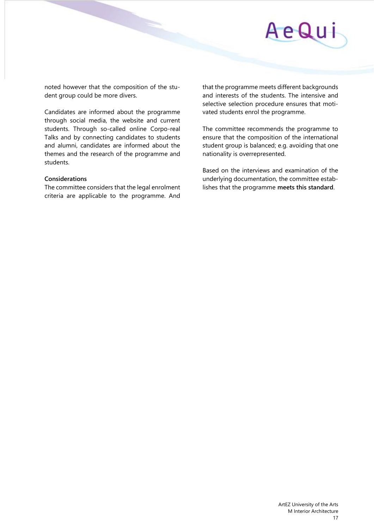

noted however that the composition of the student group could be more divers.

Candidates are informed about the programme through social media, the website and current students. Through so-called online Corpo-real Talks and by connecting candidates to students and alumni, candidates are informed about the themes and the research of the programme and students.

#### **Considerations**

The committee considers that the legal enrolment criteria are applicable to the programme. And

that the programme meets different backgrounds and interests of the students. The intensive and selective selection procedure ensures that motivated students enrol the programme.

The committee recommends the programme to ensure that the composition of the international student group is balanced; e.g. avoiding that one nationality is overrepresented.

Based on the interviews and examination of the underlying documentation, the committee establishes that the programme **meets this standard**.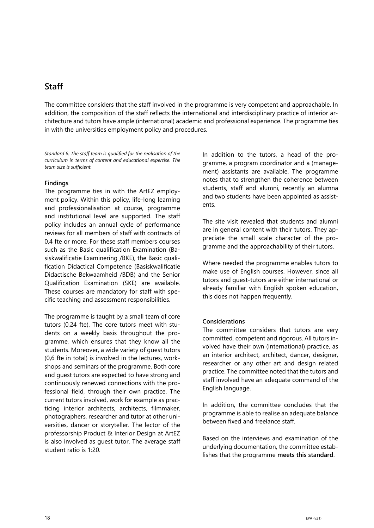### **Staff**

The committee considers that the staff involved in the programme is very competent and approachable. In addition, the composition of the staff reflects the international and interdisciplinary practice of interior architecture and tutors have ample (international) academic and professional experience. The programme ties in with the universities employment policy and procedures.

*Standard 6: The staff team is qualified for the realisation of the curriculum in terms of content and educational expertise. The team size is sufficient.*

#### **Findings**

The programme ties in with the ArtEZ employment policy. Within this policy, life-long learning and professionalisation at course, programme and institutional level are supported. The staff policy includes an annual cycle of performance reviews for all members of staff with contracts of 0,4 fte or more. For these staff members courses such as the Basic qualification Examination (Basiskwalificatie Examinering /BKE), the Basic qualification Didactical Competence (Basiskwalificatie Didactische Bekwaamheid /BDB) and the Senior Qualification Examination (SKE) are available. These courses are mandatory for staff with specific teaching and assessment responsibilities.

The programme is taught by a small team of core tutors (0,24 fte). The core tutors meet with students on a weekly basis throughout the programme, which ensures that they know all the students. Moreover, a wide variety of guest tutors (0,6 fte in total) is involved in the lectures, workshops and seminars of the programme. Both core and guest tutors are expected to have strong and continuously renewed connections with the professional field, through their own practice. The current tutors involved, work for example as practicing interior architects, architects, filmmaker, photographers, researcher and tutor at other universities, dancer or storyteller. The lector of the professorship Product & Interior Design at ArtEZ is also involved as guest tutor. The average staff student ratio is 1:20.

In addition to the tutors, a head of the programme, a program coordinator and a (management) assistants are available. The programme notes that to strengthen the coherence between students, staff and alumni, recently an alumna and two students have been appointed as assistents.

The site visit revealed that students and alumni are in general content with their tutors. They appreciate the small scale character of the programme and the approachability of their tutors.

Where needed the programme enables tutors to make use of English courses. However, since all tutors and guest-tutors are either international or already familiar with English spoken education, this does not happen frequently.

#### **Considerations**

The committee considers that tutors are very committed, competent and rigorous. All tutors involved have their own (international) practice, as an interior architect, architect, dancer, designer, researcher or any other art and design related practice. The committee noted that the tutors and staff involved have an adequate command of the English language.

In addition, the committee concludes that the programme is able to realise an adequate balance between fixed and freelance staff.

Based on the interviews and examination of the underlying documentation, the committee establishes that the programme **meets this standard**.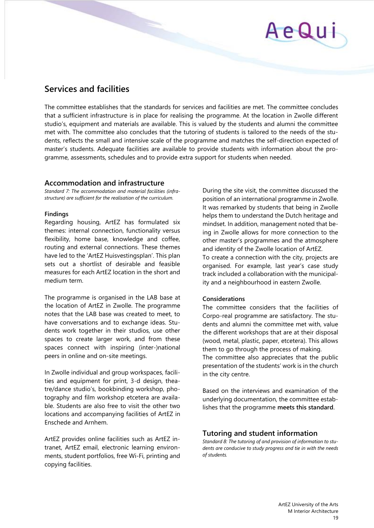## **Services and facilities**

The committee establishes that the standards for services and facilities are met. The committee concludes that a sufficient infrastructure is in place for realising the programme. At the location in Zwolle different studio's, equipment and materials are available. This is valued by the students and alumni the committee met with. The committee also concludes that the tutoring of students is tailored to the needs of the students, reflects the small and intensive scale of the programme and matches the self-direction expected of master's students. Adequate facilities are available to provide students with information about the programme, assessments, schedules and to provide extra support for students when needed.

#### **Accommodation and infrastructure**

*Standard 7: The accommodation and material facilities (infrastructure) are sufficient for the realisation of the curriculum.* 

#### **Findings**

Regarding housing, ArtEZ has formulated six themes: internal connection, functionality versus flexibility, home base, knowledge and coffee, routing and external connections. These themes have led to the 'ArtEZ Huisvestingsplan'. This plan sets out a shortlist of desirable and feasible measures for each ArtEZ location in the short and medium term.

The programme is organised in the LAB base at the location of ArtEZ in Zwolle. The programme notes that the LAB base was created to meet, to have conversations and to exchange ideas. Students work together in their studios, use other spaces to create larger work, and from these spaces connect with inspiring (inter-)national peers in online and on-site meetings.

In Zwolle individual and group workspaces, facilities and equipment for print, 3-d design, theatre/dance studio's, bookbinding workshop, photography and film workshop etcetera are available. Students are also free to visit the other two locations and accompanying facilities of ArtEZ in Enschede and Arnhem.

ArtEZ provides online facilities such as ArtEZ intranet, ArtEZ email, electronic learning environments, student portfolios, free Wi-Fi, printing and copying facilities.

During the site visit, the committee discussed the position of an international programme in Zwolle. It was remarked by students that being in Zwolle helps them to understand the Dutch heritage and mindset. In addition, management noted that being in Zwolle allows for more connection to the other master's programmes and the atmosphere and identity of the Zwolle location of ArtEZ. To create a connection with the city, projects are

organised. For example, last year's case study track included a collaboration with the municipality and a neighbourhood in eastern Zwolle.

#### **Considerations**

The committee considers that the facilities of Corpo-real programme are satisfactory. The students and alumni the committee met with, value the different workshops that are at their disposal (wood, metal, plastic, paper, etcetera). This allows them to go through the process of making.

The committee also appreciates that the public presentation of the students' work is in the church in the city centre.

Based on the interviews and examination of the underlying documentation, the committee establishes that the programme **meets this standard**.

### **Tutoring and student information**

*Standard 8: The tutoring of and provision of information to students are conducive to study progress and tie in with the needs of students.*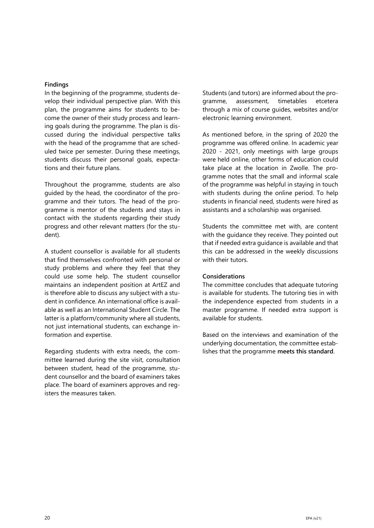#### **Findings**

In the beginning of the programme, students develop their individual perspective plan. With this plan, the programme aims for students to become the owner of their study process and learning goals during the programme. The plan is discussed during the individual perspective talks with the head of the programme that are scheduled twice per semester. During these meetings, students discuss their personal goals, expectations and their future plans.

Throughout the programme, students are also guided by the head, the coordinator of the programme and their tutors. The head of the programme is mentor of the students and stays in contact with the students regarding their study progress and other relevant matters (for the student).

A student counsellor is available for all students that find themselves confronted with personal or study problems and where they feel that they could use some help. The student counsellor maintains an independent position at ArtEZ and is therefore able to discuss any subject with a student in confidence. An international office is available as well as an International Student Circle. The latter is a platform/community where all students, not just international students, can exchange information and expertise.

Regarding students with extra needs, the committee learned during the site visit, consultation between student, head of the programme, student counsellor and the board of examiners takes place. The board of examiners approves and registers the measures taken.

Students (and tutors) are informed about the programme, assessment, timetables etcetera through a mix of course guides, websites and/or electronic learning environment.

As mentioned before, in the spring of 2020 the programme was offered online. In academic year 2020 - 2021, only meetings with large groups were held online, other forms of education could take place at the location in Zwolle. The programme notes that the small and informal scale of the programme was helpful in staying in touch with students during the online period. To help students in financial need, students were hired as assistants and a scholarship was organised.

Students the committee met with, are content with the guidance they receive. They pointed out that if needed extra guidance is available and that this can be addressed in the weekly discussions with their tutors.

#### **Considerations**

The committee concludes that adequate tutoring is available for students. The tutoring ties in with the independence expected from students in a master programme. If needed extra support is available for students.

Based on the interviews and examination of the underlying documentation, the committee establishes that the programme **meets this standard**.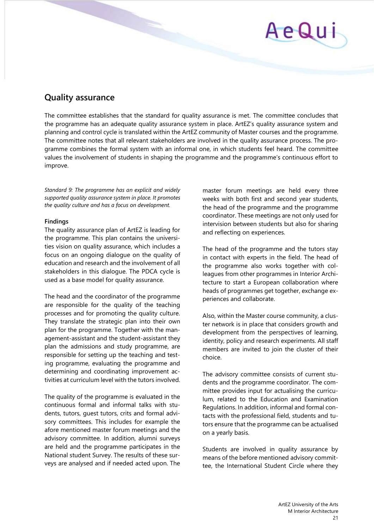## AeQu

## **Quality assurance**

The committee establishes that the standard for quality assurance is met. The committee concludes that the programme has an adequate quality assurance system in place. ArtEZ's quality assurance system and planning and control cycle is translated within the ArtEZ community of Master courses and the programme. The committee notes that all relevant stakeholders are involved in the quality assurance process. The programme combines the formal system with an informal one, in which students feel heard. The committee values the involvement of students in shaping the programme and the programme's continuous effort to improve.

*Standard 9: The programme has an explicit and widely supported quality assurance system in place. It promotes the quality culture and has a focus on development.*

#### **Findings**

The quality assurance plan of ArtEZ is leading for the programme. This plan contains the universities vision on quality assurance, which includes a focus on an ongoing dialogue on the quality of education and research and the involvement of all stakeholders in this dialogue. The PDCA cycle is used as a base model for quality assurance.

The head and the coordinator of the programme are responsible for the quality of the teaching processes and for promoting the quality culture. They translate the strategic plan into their own plan for the programme. Together with the management-assistant and the student-assistant they plan the admissions and study programme, are responsible for setting up the teaching and testing programme, evaluating the programme and determining and coordinating improvement activities at curriculum level with the tutors involved.

The quality of the programme is evaluated in the continuous formal and informal talks with students, tutors, guest tutors, crits and formal advisory committees. This includes for example the afore mentioned master forum meetings and the advisory committee. In addition, alumni surveys are held and the programme participates in the National student Survey. The results of these surveys are analysed and if needed acted upon. The

master forum meetings are held every three weeks with both first and second year students, the head of the programme and the programme coordinator. These meetings are not only used for intervision between students but also for sharing and reflecting on experiences.

The head of the programme and the tutors stay in contact with experts in the field. The head of the programme also works together with colleagues from other programmes in Interior Architecture to start a European collaboration where heads of programmes get together, exchange experiences and collaborate.

Also, within the Master course community, a cluster network is in place that considers growth and development from the perspectives of learning, identity, policy and research experiments. All staff members are invited to join the cluster of their choice.

The advisory committee consists of current students and the programme coordinator. The committee provides input for actualising the curriculum, related to the Education and Examination Regulations. In addition, informal and formal contacts with the professional field, students and tutors ensure that the programme can be actualised on a yearly basis.

Students are involved in quality assurance by means of the before mentioned advisory committee, the International Student Circle where they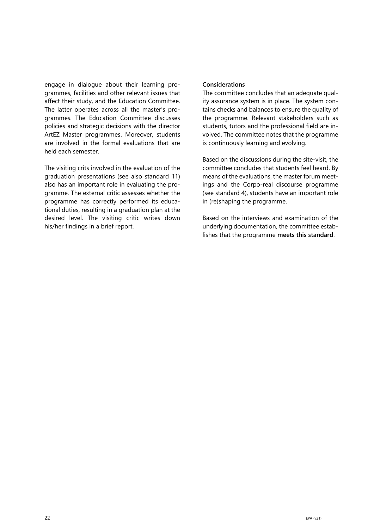engage in dialogue about their learning programmes, facilities and other relevant issues that affect their study, and the Education Committee. The latter operates across all the master's programmes. The Education Committee discusses policies and strategic decisions with the director ArtEZ Master programmes. Moreover, students are involved in the formal evaluations that are held each semester.

The visiting crits involved in the evaluation of the graduation presentations (see also standard 11) also has an important role in evaluating the programme. The external critic assesses whether the programme has correctly performed its educational duties, resulting in a graduation plan at the desired level. The visiting critic writes down his/her findings in a brief report.

#### **Considerations**

The committee concludes that an adequate quality assurance system is in place. The system contains checks and balances to ensure the quality of the programme. Relevant stakeholders such as students, tutors and the professional field are involved. The committee notes that the programme is continuously learning and evolving.

Based on the discussions during the site-visit, the committee concludes that students feel heard. By means of the evaluations, the master forum meetings and the Corpo-real discourse programme (see standard 4), students have an important role in (re)shaping the programme.

Based on the interviews and examination of the underlying documentation, the committee establishes that the programme **meets this standard**.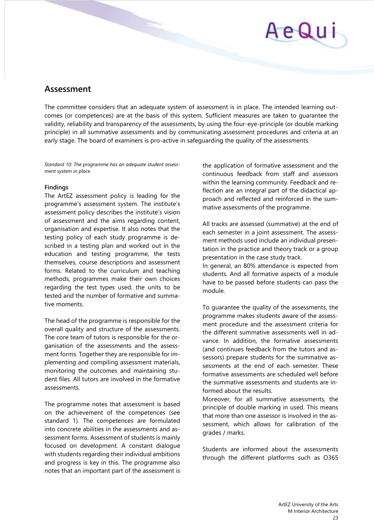# AeQui

## **Assessment**

The committee considers that an adequate system of assessment is in place. The intended learning outcomes (or competences) are at the basis of this system. Sufficient measures are taken to guarantee the validity, reliability and transparency of the assessments, by using the four-eye-principle (or double marking principle) in all summative assessments and by communicating assessment procedures and criteria at an early stage. The board of examiners is pro-active in safeguarding the quality of the assessments.

*Standard 10: The programme has an adequate student assessment system in place.* 

#### **Findings**

The ArtEZ assessment policy is leading for the programme's assessment system. The institute's assessment policy describes the institute's vision of assessment and the aims regarding content, organisation and expertise. It also notes that the testing policy of each study programme is described in a testing plan and worked out in the education and testing programme, the tests themselves, course descriptions and assessment forms. Related to the curriculum and teaching methods, programmes make their own choices regarding the test types used, the units to be tested and the number of formative and summative moments.

The head of the programme is responsible for the overall quality and structure of the assessments. The core team of tutors is responsible for the organisation of the assessments and the assessment forms. Together they are responsible for implementing and compiling assessment materials, monitoring the outcomes and maintaining student files. All tutors are involved in the formative assessments.

The programme notes that assessment is based on the achievement of the competences (see standard 1). The competences are formulated into concrete abilities in the assessments and assessment forms. Assessment of students is mainly focused on development. A constant dialogue with students regarding their individual ambitions and progress is key in this. The programme also notes that an important part of the assessment is

the application of formative assessment and the continuous feedback from staff and assessors within the learning community. Feedback and reflection are an integral part of the didactical approach and reflected and reinforced in the summative assessments of the programme.

All tracks are assessed (summative) at the end of each semester in a joint assessment. The assessment methods used include an individual presentation in the practice and theory track or a group presentation in the case study track.

In general, an 80% attendance is expected from students. And all formative aspects of a module have to be passed before students can pass the module.

To guarantee the quality of the assessments, the programme makes students aware of the assessment procedure and the assessment criteria for the different summative assessments well in advance. In addition, the formative assessments (and continues feedback from the tutors and assessors) prepare students for the summative assessments at the end of each semester. These formative assessments are scheduled well before the summative assessments and students are informed about the results.

Moreover, for all summative assessments, the principle of double marking in used. This means that more than one assessor is involved in the assessment, which allows for calibration of the grades / marks.

Students are informed about the assessments through the different platforms such as O365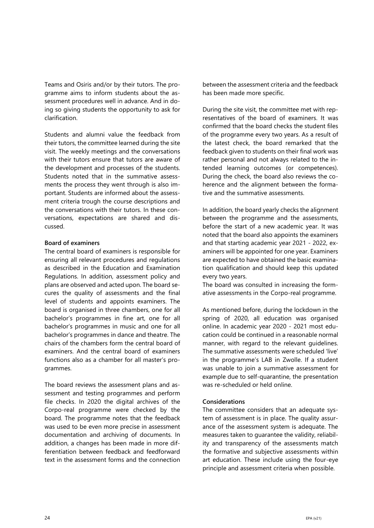Teams and Osiris and/or by their tutors. The programme aims to inform students about the assessment procedures well in advance. And in doing so giving students the opportunity to ask for clarification.

Students and alumni value the feedback from their tutors, the committee learned during the site visit. The weekly meetings and the conversations with their tutors ensure that tutors are aware of the development and processes of the students. Students noted that in the summative assessments the process they went through is also important. Students are informed about the assessment criteria trough the course descriptions and the conversations with their tutors. In these conversations, expectations are shared and discussed.

#### **Board of examiners**

The central board of examiners is responsible for ensuring all relevant procedures and regulations as described in the Education and Examination Regulations. In addition, assessment policy and plans are observed and acted upon. The board secures the quality of assessments and the final level of students and appoints examiners. The board is organised in three chambers, one for all bachelor's programmes in fine art, one for all bachelor's programmes in music and one for all bachelor's programmes in dance and theatre. The chairs of the chambers form the central board of examiners. And the central board of examiners functions also as a chamber for all master's programmes.

The board reviews the assessment plans and assessment and testing programmes and perform file checks. In 2020 the digital archives of the Corpo-real programme were checked by the board. The programme notes that the feedback was used to be even more precise in assessment documentation and archiving of documents. In addition, a changes has been made in more differentiation between feedback and feedforward text in the assessment forms and the connection

between the assessment criteria and the feedback has been made more specific.

During the site visit, the committee met with representatives of the board of examiners. It was confirmed that the board checks the student files of the programme every two years. As a result of the latest check, the board remarked that the feedback given to students on their final work was rather personal and not always related to the intended learning outcomes (or competences). During the check, the board also reviews the coherence and the alignment between the formative and the summative assessments.

In addition, the board yearly checks the alignment between the programme and the assessments, before the start of a new academic year. It was noted that the board also appoints the examiners and that starting academic year 2021 - 2022, examiners will be appointed for one year. Examiners are expected to have obtained the basic examination qualification and should keep this updated every two years.

The board was consulted in increasing the formative assessments in the Corpo-real programme.

As mentioned before, during the lockdown in the spring of 2020, all education was organised online. In academic year 2020 - 2021 most education could be continued in a reasonable normal manner, with regard to the relevant guidelines. The summative assessments were scheduled 'live' in the programme's LAB in Zwolle. If a student was unable to join a summative assessment for example due to self-quarantine, the presentation was re-scheduled or held online.

#### **Considerations**

The committee considers that an adequate system of assessment is in place. The quality assurance of the assessment system is adequate. The measures taken to guarantee the validity, reliability and transparency of the assessments match the formative and subjective assessments within art education. These include using the four-eye principle and assessment criteria when possible.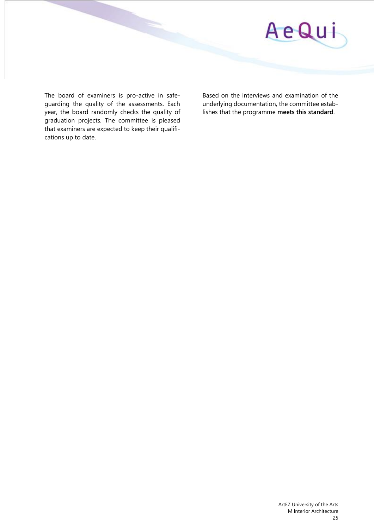

The board of examiners is pro-active in safeguarding the quality of the assessments. Each year, the board randomly checks the quality of graduation projects. The committee is pleased that examiners are expected to keep their qualifications up to date.

Based on the interviews and examination of the underlying documentation, the committee establishes that the programme **meets this standard**.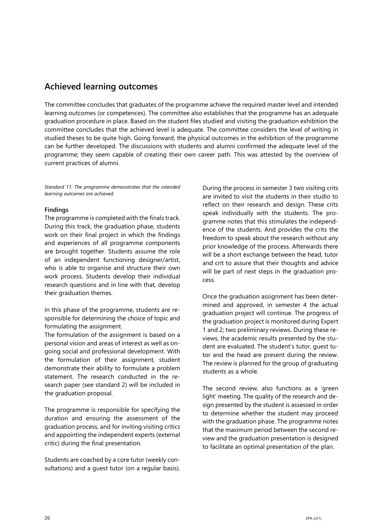## **Achieved learning outcomes**

The committee concludes that graduates of the programme achieve the required master level and intended learning outcomes (or competences). The committee also establishes that the programme has an adequate graduation procedure in place. Based on the student files studied and visiting the graduation exhibition the committee concludes that the achieved level is adequate. The committee considers the level of writing in studied theses to be quite high. Going forward, the physical outcomes in the exhibition of the programme can be further developed. The discussions with students and alumni confirmed the adequate level of the programme; they seem capable of creating their own career path. This was attested by the overview of current practices of alumni.

*Standard 11: The programme demonstrates that the intended learning outcomes are achieved.* 

#### **Findings**

The programme is completed with the finals track. During this track, the graduation phase, students work on their final project in which the findings and experiences of all programme components are brought together. Students assume the role of an independent functioning designer/artist, who is able to organise and structure their own work process. Students develop their individual research questions and in line with that, develop their graduation themes.

In this phase of the programme, students are responsible for determining the choice of topic and formulating the assignment.

The formulation of the assignment is based on a personal vision and areas of interest as well as ongoing social and professional development. With the formulation of their assignment, student demonstrate their ability to formulate a problem statement. The research conducted in the research paper (see standard 2) will be included in the graduation proposal.

The programme is responsible for specifying the duration and ensuring the assessment of the graduation process, and for inviting visiting critics and appointing the independent experts (external critic) during the final presentation.

Students are coached by a core tutor (weekly consultations) and a guest tutor (on a regular basis).

During the process in semester 3 two visiting crits are invited to visit the students in their studio to reflect on their research and design. These crits speak individually with the students. The programme notes that this stimulates the independence of the students. And provides the crits the freedom to speak about the research without any prior knowledge of the process. Afterwards there will be a short exchange between the head, tutor and crit to assure that their thoughts and advice will be part of next steps in the graduation process.

Once the graduation assignment has been determined and approved, in semester 4 the actual graduation project will continue. The progress of the graduation project is monitored during Expert 1 and 2; two preliminary reviews. During these reviews, the academic results presented by the student are evaluated. The student's tutor, guest tutor and the head are present during the review. The review is planned for the group of graduating students as a whole.

The second review, also functions as a 'green light' meeting. The quality of the research and design presented by the student is assessed in order to determine whether the student may proceed with the graduation phase. The programme notes that the maximum period between the second review and the graduation presentation is designed to facilitate an optimal presentation of the plan.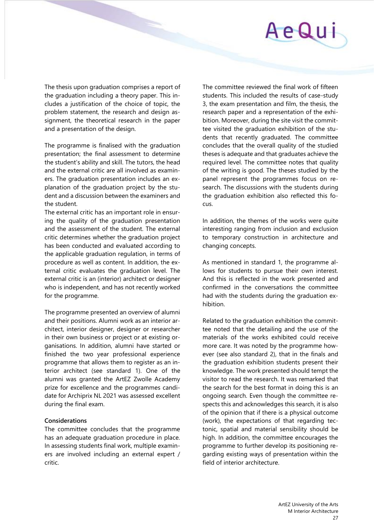## AeQu

The thesis upon graduation comprises a report of the graduation including a theory paper. This includes a justification of the choice of topic, the problem statement, the research and design assignment, the theoretical research in the paper and a presentation of the design.

The programme is finalised with the graduation presentation; the final assessment to determine the student's ability and skill. The tutors, the head and the external critic are all involved as examiners. The graduation presentation includes an explanation of the graduation project by the student and a discussion between the examiners and the student.

The external critic has an important role in ensuring the quality of the graduation presentation and the assessment of the student. The external critic determines whether the graduation project has been conducted and evaluated according to the applicable graduation regulation, in terms of procedure as well as content. In addition, the external critic evaluates the graduation level. The external critic is an (interior) architect or designer who is independent, and has not recently worked for the programme.

The programme presented an overview of alumni and their positions. Alumni work as an interior architect, interior designer, designer or researcher in their own business or project or at existing organisations. In addition, alumni have started or finished the two year professional experience programme that allows them to register as an interior architect (see standard 1). One of the alumni was granted the ArtEZ Zwolle Academy prize for excellence and the programmes candidate for Archiprix NL 2021 was assessed excellent during the final exam.

#### **Considerations**

The committee concludes that the programme has an adequate graduation procedure in place. In assessing students final work, multiple examiners are involved including an external expert / critic.

The committee reviewed the final work of fifteen students. This included the results of case-study 3, the exam presentation and film, the thesis, the research paper and a representation of the exhibition. Moreover, during the site visit the committee visited the graduation exhibition of the students that recently graduated. The committee concludes that the overall quality of the studied theses is adequate and that graduates achieve the required level. The committee notes that quality of the writing is good. The theses studied by the panel represent the programmes focus on research. The discussions with the students during the graduation exhibition also reflected this focus.

In addition, the themes of the works were quite interesting ranging from inclusion and exclusion to temporary construction in architecture and changing concepts.

As mentioned in standard 1, the programme allows for students to pursue their own interest. And this is reflected in the work presented and confirmed in the conversations the committee had with the students during the graduation exhibition.

Related to the graduation exhibition the committee noted that the detailing and the use of the materials of the works exhibited could receive more care. It was noted by the programme however (see also standard 2), that in the finals and the graduation exhibition students present their knowledge. The work presented should tempt the visitor to read the research. It was remarked that the search for the best format in doing this is an ongoing search. Even though the committee respects this and acknowledges this search, it is also of the opinion that if there is a physical outcome (work), the expectations of that regarding tectonic, spatial and material sensibility should be high. In addition, the committee encourages the programme to further develop its positioning regarding existing ways of presentation within the field of interior architecture.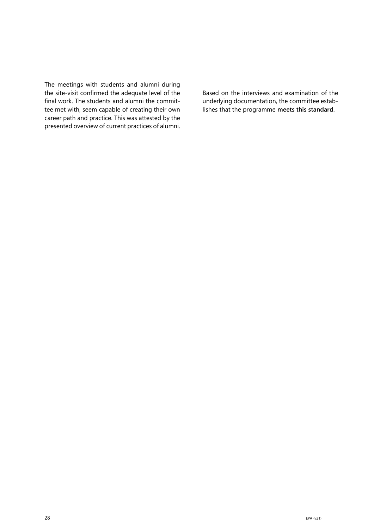The meetings with students and alumni during the site-visit confirmed the adequate level of the final work. The students and alumni the committee met with, seem capable of creating their own career path and practice. This was attested by the presented overview of current practices of alumni.

Based on the interviews and examination of the underlying documentation, the committee establishes that the programme **meets this standard**.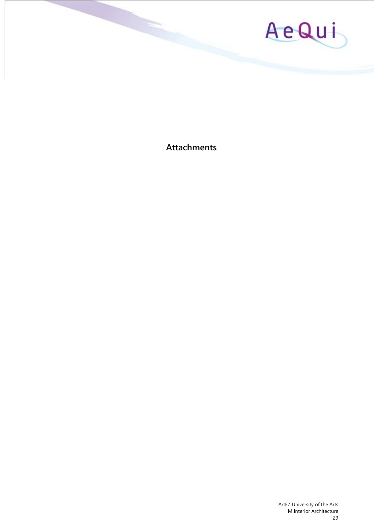

**Attachments**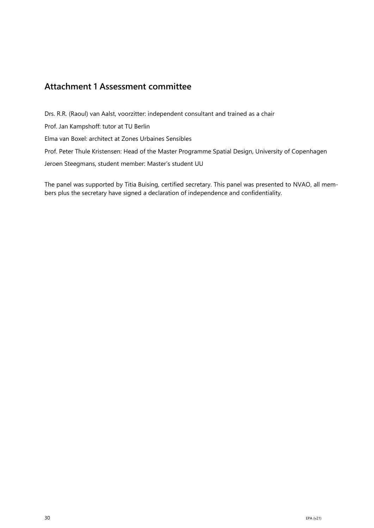## **Attachment 1 Assessment committee**

Drs. R.R. (Raoul) van Aalst, voorzitter: independent consultant and trained as a chair

Prof. Jan Kampshoff: tutor at TU Berlin

Elma van Boxel: architect at Zones Urbaines Sensibles

Prof. Peter Thule Kristensen: Head of the Master Programme Spatial Design, University of Copenhagen

Jeroen Steegmans, student member: Master's student UU

The panel was supported by Titia Buising, certified secretary. This panel was presented to NVAO, all members plus the secretary have signed a declaration of independence and confidentiality.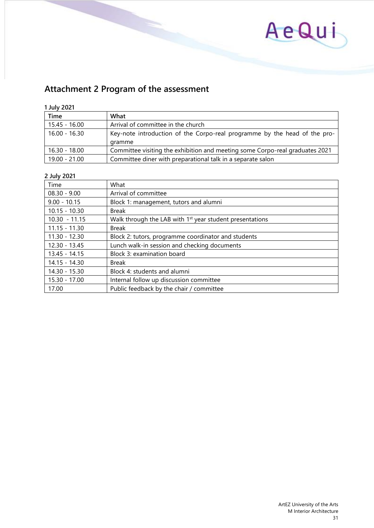

## **Attachment 2 Program of the assessment**

#### **1 July 2021**

| Time            | What                                                                                |
|-----------------|-------------------------------------------------------------------------------------|
| $15.45 - 16.00$ | Arrival of committee in the church                                                  |
| $16.00 - 16.30$ | Key-note introduction of the Corpo-real programme by the head of the pro-<br>gramme |
|                 |                                                                                     |
| 16.30 - 18.00   | Committee visiting the exhibition and meeting some Corpo-real graduates 2021        |
| 19.00 - 21.00   | Committee diner with preparational talk in a separate salon                         |

#### **2 July 2021**

| Time            | What                                                                 |
|-----------------|----------------------------------------------------------------------|
| $08.30 - 9.00$  | Arrival of committee                                                 |
| $9.00 - 10.15$  | Block 1: management, tutors and alumni                               |
| $10.15 - 10.30$ | <b>Break</b>                                                         |
| $10.30 - 11.15$ | Walk through the LAB with 1 <sup>st</sup> year student presentations |
| $11.15 - 11.30$ | <b>Break</b>                                                         |
| $11.30 - 12.30$ | Block 2: tutors, programme coordinator and students                  |
| $12.30 - 13.45$ | Lunch walk-in session and checking documents                         |
| $13.45 - 14.15$ | Block 3: examination board                                           |
| $14.15 - 14.30$ | <b>Break</b>                                                         |
| $14.30 - 15.30$ | Block 4: students and alumni                                         |
| 15.30 - 17.00   | Internal follow up discussion committee                              |
| 17.00           | Public feedback by the chair / committee                             |